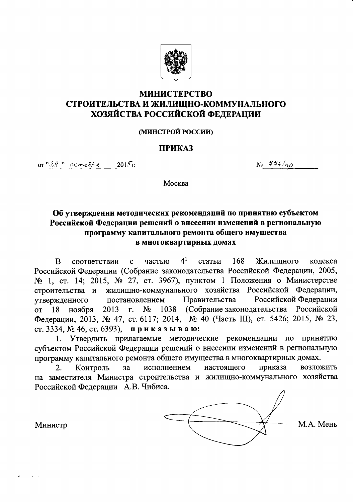

# **МИНИСТЕРСТВО** СТРОИТЕЛЬСТВА И ЖИЛИЩНО-КОММУНАЛЬНОГО ХОЗЯЙСТВА РОССИЙСКОЙ ФЕДЕРАЦИИ

#### **(МИНСТРОЙ РОССИИ)**

#### **ПРИКАЗ**

 $or "29"$  ormeops  $2015$ r.

 $N_2$  444/np

Москва

# Об утверждении методических рекомендаций по принятию субъектом Российской Федерации решений о внесении изменений в региональную программу капитального ремонта общего имущества в многоквартирных домах

 $4<sup>1</sup>$ <sub>B</sub> частью статьи 168 Жилишного кодекса соответствии  $\mathbf{c}$ Российской Федерации (Собрание законодательства Российской Федерации, 2005, № 1, ст. 14; 2015, № 27, ст. 3967), пунктом 1 Положения о Министерстве жилищно-коммунального хозяйства Российской Федерации, строительства и Правительства Российской Федерации утвержденного постановлением 1038 (Собрание законодательства Российской ноября  $\overline{or}$ 18 2013  $\Gamma$ .  $N_2$ Федерации, 2013, № 47, ст. 6117; 2014, № 40 (Часть III), ст. 5426; 2015, № 23, ст. 3334, № 46, ст. 6393), приказываю:

1. Утвердить прилагаемые методические рекомендации по принятию субъектом Российской Федерации решений о внесении изменений в региональную программу капитального ремонта общего имущества в многоквартирных домах.

исполнением приказа Контроль настоящего возложить  $2<sub>1</sub>$  $3a$ на заместителя Министра строительства и жилищно-коммунального хозяйства Российской Федерации А.В. Чибиса.



М.А. Мень

Министр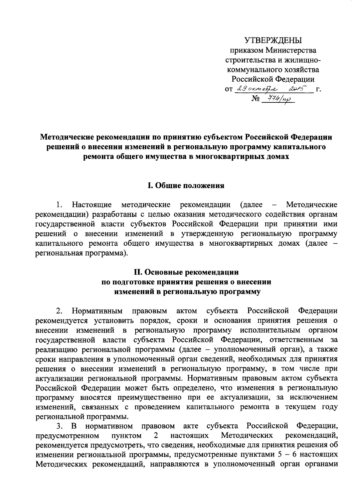**УТВЕРЖДЕНЫ** приказом Министерства строительства и жилищнокоммунального хозяйства Российской Федерации OT 29 okmedie 2015  $\Gamma$ .  $\overline{\mathcal{N}^{\mathcal{Q}}$   $\frac{444}{\mu\rho}$ 

## Методические рекомендации по принятию субъектом Российской Федерации решений о внесении изменений в региональную программу капитального ремонта общего имущества в многоквартирных домах

#### **І. Общие положения**

1. рекомендации Настоящие методические (далее  $\overline{\phantom{0}}$ Методические рекомендации) разработаны с целью оказания методического содействия органам государственной власти субъектов Российской Федерации при принятии ими решений о внесении изменений в утвержденную региональную программу капитального ремонта общего имущества в многоквартирных домах (далее региональная программа).

## **II. Основные рекомендации** по подготовке принятия решения о внесении изменений в региональную программу

Российской правовым актом субъекта Федерации 2. Нормативным рекомендуется установить порядок, сроки и основания принятия решения о внесении изменений в региональную программу исполнительным органом субъекта Российской Федерации, ответственным государственной власти  $3a$ реализацию региональной программы (далее - уполномоченный орган), а также сроки направления в уполномоченный орган сведений, необходимых для принятия решения о внесении изменений в региональную программу, в том числе при актуализации региональной программы. Нормативным правовым актом субъекта Российской Федерации может быть определено, что изменения в региональную программу вносятся преимущественно при ее актуализации, за исключением изменений, связанных с проведением капитального ремонта в текущем году региональной программы.

нормативном субъекта Российской Федерации,  $3.$ B правовом акте настоящих Методических рекомендаций, предусмотренном ПУНКТОМ 2 рекомендуется предусмотреть, что сведения, необходимые для принятия решения об изменении региональной программы, предусмотренные пунктами  $5 - 6$  настоящих Методических рекомендаций, направляются в уполномоченный орган органами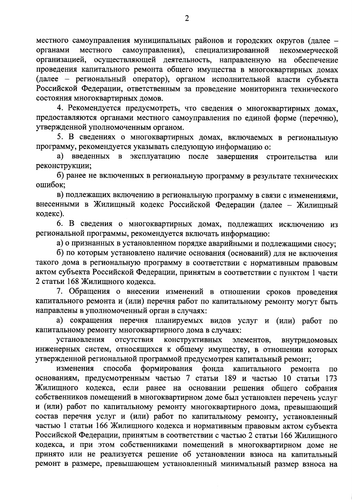местного самоуправления муниципальных районов и городских округов (далее самоуправления), местного специализированной органами некоммерческой организацией, осуществляющей деятельность, направленную на обеспечение проведения капитального ремонта общего имущества в многоквартирных домах (далее - региональный оператор), органом исполнительной власти субъекта Российской Федерации, ответственным за проведение мониторинга технического состояния многоквартирных домов.

4. Рекомендуется предусмотреть, что сведения о многоквартирных домах, предоставляются органами местного самоуправления по единой форме (перечню), утвержденной уполномоченным органом.

5. В сведениях о многоквартирных домах, включаемых в региональную программу, рекомендуется указывать следующую информацию о:

а) введенных в эксплуатацию после завершения строительства ИЛИ реконструкции;

б) ранее не включенных в региональную программу в результате технических ошибок:

в) подлежащих включению в региональную программу в связи с изменениями, внесенными в Жилищный кодекс Российской Федерации (далее - Жилищный кодекс).

6. В сведения о многоквартирных домах, подлежащих исключению из региональной программы, рекомендуется включать информацию:

а) о признанных в установленном порядке аварийными и подлежащими сносу;

б) по которым установлено наличие основания (оснований) для не включения такого дома в региональную программу в соответствии с нормативным правовым актом субъекта Российской Федерации, принятым в соответствии с пунктом 1 части 2 статьи 168 Жилищного кодекса.

7. Обращения о внесении изменений в отношении сроков проведения капитального ремонта и (или) перечня работ по капитальному ремонту могут быть направлены в уполномоченный орган в случаях:

а) сокращения перечня планируемых видов услуг и (или) работ по капитальному ремонту многоквартирного дома в случаях:

установления отсутствия конструктивных элементов, внутридомовых инженерных систем, относящихся к общему имуществу, в отношении которых утвержденной региональной программой предусмотрен капитальный ремонт;

изменения способа формирования фонда капитального ремонта  $\overline{a}$ основаниям, предусмотренным частью 7 статьи 189 и частью 10 статьи 173 Жилищного кодекса, если ранее на основании решения общего собрания собственников помещений в многоквартирном доме был установлен перечень услуг и (или) работ по капитальному ремонту многоквартирного дома, превышающий состав перечня услуг и (или) работ по капитальному ремонту, установленный частью 1 статьи 166 Жилищного кодекса и нормативным правовым актом субъекта Российской Федерации, принятым в соответствии с частью 2 статьи 166 Жилищного кодекса, и при этом собственниками помещений в многоквартирном доме не принято или не реализуется решение об установлении взноса на капитальный ремонт в размере, превышающем установленный минимальный размер взноса на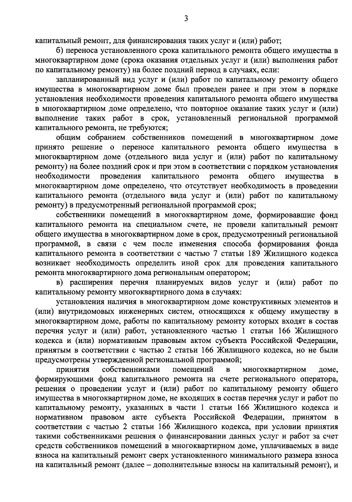капитальный ремонт, для финансирования таких услуг и (или) работ;

б) переноса установленного срока капитального ремонта общего имущества в многоквартирном доме (срока оказания отдельных услуг и (или) выполнения работ по капитальному ремонту) на более поздний период в случаях, если:

запланированный вид услуг и (или) работ по капитальному ремонту общего имущества в многоквартирном доме был проведен ранее и при этом в порядке установления необходимости проведения капитального ремонта общего имущества в многоквартирном доме определено, что повторное оказание таких услуг и (или) выполнение таких работ в срок, установленный региональной программой капитального ремонта, не требуются;

общим собранием собственников помещений в многоквартирном доме принято решение о переносе капитального ремонта общего имущества  $\mathbf{B}$ многоквартирном доме (отдельного вида услуг и (или) работ по капитальному ремонту) на более поздний срок и при этом в соответствии с порядком установления необходимости проведения капитального ремонта общего имущества  $\bf{B}$ многоквартирном доме определено, что отсутствует необходимость в проведении капитального ремонта (отдельного вида услуг и (или) работ по капитальному ремонту) в предусмотренный региональной программой срок;

собственники помещений в многоквартирном доме, формировавшие фонд капитального ремонта на специальном счете, не провели капитальный ремонт общего имущества в многоквартирном доме в срок, предусмотренный региональной программой, в связи с чем после изменения способа формирования фонда капитального ремонта в соответствии с частью 7 статьи 189 Жилищного кодекса возникает необходимость определить иной срок для проведения капитального ремонта многоквартирного дома региональным оператором;

в) расширения перечня планируемых видов услуг и (или) работ по капитальному ремонту многоквартирного дома в случаях:

установления наличия в многоквартирном доме конструктивных элементов и (или) внутридомовых инженерных систем, относящихся к общему имуществу в многоквартирном доме, работы по капитальному ремонту которых входят в состав перечня услуг и (или) работ, установленного частью 1 статьи 166 Жилищного кодекса и (или) нормативным правовым актом субъекта Российской Федерации, принятым в соответствии с частью 2 статьи 166 Жилищного кодекса, но не были предусмотрены утвержденной региональной программой;

собственниками помещений принятия  $\, {\bf B} \,$ многоквартирном доме, формирующими фонд капитального ремонта на счете регионального оператора, решения о проведении услуг и (или) работ по капитальному ремонту общего имущества в многоквартирном доме, не входящих в состав перечня услуг и работ по капитальному ремонту, указанных в части 1 статьи 166 Жилищного кодекса и нормативном правовом акте субъекта Российской Федерации, принятом в соответствии с частью 2 статьи 166 Жилищного кодекса, при условии принятия такими собственниками решения о финансировании данных услуг и работ за счет средств собственников помещений в многоквартирном доме, уплачиваемых в виде взноса на капитальный ремонт сверх установленного минимального размера взноса на капитальный ремонт (далее - дополнительные взносы на капитальный ремонт), и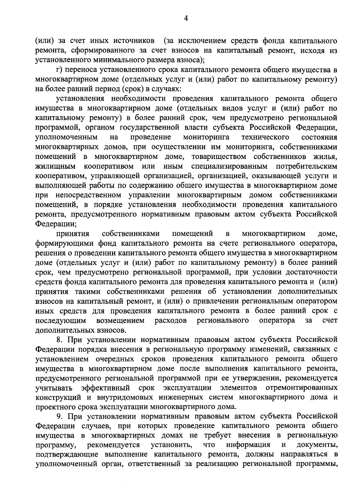(или) за счет иных источников (за исключением средств фонда капитального ремонта, сформированного за счет взносов на капитальный ремонт, исходя из установленного минимального размера взноса);

г) переноса установленного срока капитального ремонта общего имущества в многоквартирном доме (отдельных услуг и (или) работ по капитальному ремонту) на более ранний период (срок) в случаях:

установления необходимости проведения капитального ремонта общего имущества в многоквартирном доме (отдельных видов услуг и (или) работ по капитальному ремонту) в более ранний срок, чем предусмотрено региональной программой, органом государственной власти субъекта Российской Федерации, уполномоченным проведение мониторинга на технического состояния многоквартирных домов, при осуществлении им мониторинга, собственниками товариществом собственников жилья, помещений в многоквартирном доме, кооперативом или иным специализированным потребительским ЖИЛИЩНЫМ кооперативом, управляющей организацией, организацией, оказывающей услуги и выполняющей работы по содержанию общего имущества в многоквартирном доме при непосредственном управлении многоквартирным домом собственниками помещений, в порядке установления необходимости проведения капитального ремонта, предусмотренного нормативным правовым актом субъекта Российской Федерации;

принятия собственниками помещений  $\, {\bf B}$ многоквартирном доме, формирующими фонд капитального ремонта на счете регионального оператора, решения о проведении капитального ремонта общего имущества в многоквартирном доме (отдельных услуг и (или) работ по капитальному ремонту) в более ранний срок, чем предусмотрено региональной программой, при условии достаточности средств фонда капитального ремонта для проведения капитального ремонта и (или) принятия такими собственниками решения об установлении дополнительных взносов на капитальный ремонт, и (или) о привлечении региональным оператором иных средств для проведения капитального ремонта в более ранний срок с последующим возмещением расходов регионального оператора  $3a$ счет дополнительных взносов.

8. При установлении нормативным правовым актом субъекта Российской Федерации порядка внесения в региональную программу изменений, связанных с установлением очередных сроков проведения капитального ремонта общего имущества в многоквартирном доме после выполнения капитального ремонта, предусмотренного региональной программой при ее утверждении, рекомендуется элементов эффективный срок эксплуатации отремонтированных учитывать конструкций и внутридомовых инженерных систем многоквартирного дома и проектного срока эксплуатации многоквартирного дома.

9. При установлении нормативным правовым актом субъекта Российской Федерации случаев, при которых проведение капитального ремонта общего имущества в многоквартирных домах не требует внесения в региональную установить, информация  $\overline{\mathbf{M}}$ документы, рекомендуется ЧTO программу, подтверждающие выполнение капитального ремонта, должны направляться в уполномоченный орган, ответственный за реализацию региональной программы,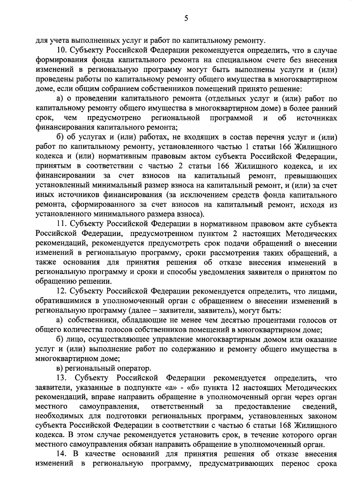для учета выполненных услуг и работ по капитальному ремонту.

10. Субъекту Российской Федерации рекомендуется определить, что в случае формирования фонда капитального ремонта на специальном счете без внесения изменений в региональную программу могут быть выполнены услуги и (или) проведены работы по капитальному ремонту общего имущества в многоквартирном доме, если общим собранием собственников помещений принято решение:

а) о проведении капитального ремонта (отдельных услуг и (или) работ по капитальному ремонту общего имущества в многоквартирном доме) в более ранний предусмотрено региональной программой срок, чем  $\overline{M}$  $0<sup>6</sup>$ источниках финансирования капитального ремонта;

б) об услугах и (или) работах, не входящих в состав перечня услуг и (или) работ по капитальному ремонту, установленного частью 1 статьи 166 Жилищного кодекса и (или) нормативным правовым актом субъекта Российской Федерации, принятым в соответствии с частью 2 статьи 166 Жилищного кодекса, и их финансировании  $3a$ счет взносов на капитальный ремонт, превышающих установленный минимальный размер взноса на капитальный ремонт, и (или) за счет иных источников финансирования (за исключением средств фонда капитального ремонта, сформированного за счет взносов на капитальный ремонт, исходя из установленного минимального размера взноса).

11. Субъекту Российской Федерации в нормативном правовом акте субъекта Российской Федерации, предусмотренном пунктом 2 настоящих Методических рекомендаций, рекомендуется предусмотреть срок подачи обращений о внесении изменений в региональную программу, сроки рассмотрения таких обращений, а также основания для принятия решения об отказе внесения изменений в региональную программу и сроки и способы уведомления заявителя о принятом по обращению решении.

12. Субъекту Российской Федерации рекомендуется определить, что лицами, обратившимися в уполномоченный орган с обращением о внесении изменений в региональную программу (далее - заявители, заявитель), могут быть:

а) собственники, обладающие не менее чем десятью процентами голосов от общего количества голосов собственников помещений в многоквартирном доме;

б) лицо, осуществляющее управление многоквартирным домом или оказание услуг и (или) выполнение работ по содержанию и ремонту общего имущества в многоквартирном доме;

в) региональный оператор.

Субъекту Российской Федерации рекомендуется 13. определить, **ЧТО** заявители, указанные в подпункте «а» - «б» пункта 12 настоящих Методических рекомендаций, вправе направить обращение в уполномоченный орган через орган самоуправления, ответственный местного предоставление за сведений, необходимых для подготовки региональных программ, установленных законом субъекта Российской Федерации в соответствии с частью 6 статьи 168 Жилищного кодекса. В этом случае рекомендуется установить срок, в течение которого орган местного самоуправления обязан направить обращение в уполномоченный орган.

14. В качестве оснований для принятия решения об отказе внесения изменений в региональную программу, предусматривающих перенос срока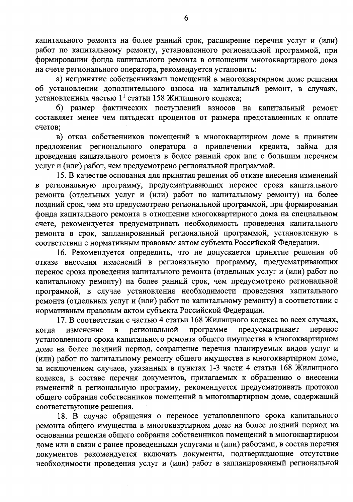капитального ремонта на более ранний срок, расширение перечня услуг и (или) работ по капитальному ремонту, установленного региональной программой, при формировании фонда капитального ремонта в отношении многоквартирного дома на счете регионального оператора, рекомендуется установить:

а) непринятие собственниками помещений в многоквартирном доме решения об установлении дополнительного взноса на капитальный ремонт, в случаях, установленных частью  $1<sup>1</sup>$  статьи 158 Жилищного кодекса;

б) размер фактических поступлений взносов на капитальный ремонт составляет менее чем пятьдесят процентов от размера представленных к оплате счетов;

в) отказ собственников помещений в многоквартирном доме в принятии предложения регионального оператора о привлечении кредита, займа для проведения капитального ремонта в более ранний срок или с большим перечнем услуг и (или) работ, чем предусмотрено региональной программой.

15. В качестве основания для принятия решения об отказе внесения изменений в региональную программу, предусматривающих перенос срока капитального ремонта (отдельных услуг и (или) работ по капитальному ремонту) на более поздний срок, чем это предусмотрено региональной программой, при формировании фонда капитального ремонта в отношении многоквартирного дома на специальном счете, рекомендуется предусматривать необходимость проведения капитального ремонта в срок, запланированный региональной программой, установленную в соответствии с нормативным правовым актом субъекта Российской Федерации.

16. Рекомендуется определить, что не допускается принятие решения об отказе внесения изменений в региональную программу, предусматривающих перенос срока проведения капитального ремонта (отдельных услуг и (или) работ по капитальному ремонту) на более ранний срок, чем предусмотрено региональной программой, в случае установления необходимости проведения капитального ремонта (отдельных услуг и (или) работ по капитальному ремонту) в соответствии с нормативным правовым актом субъекта Российской Федерации.

17. В соответствии с частью 4 статьи 168 Жилищного кодекса во всех случаях, программе региональной предусматривает перенос изменение  $\, {\bf B} \,$ когда установленного срока капитального ремонта общего имущества в многоквартирном доме на более поздний период, сокращение перечня планируемых видов услуг и (или) работ по капитальному ремонту общего имущества в многоквартирном доме, за исключением случаев, указанных в пунктах 1-3 части 4 статьи 168 Жилищного кодекса, в составе перечня документов, прилагаемых к обращению о внесении изменений в региональную программу, рекомендуется предусматривать протокол общего собрания собственников помещений в многоквартирном доме, содержащий соответствующие решения.

18. В случае обращения о переносе установленного срока капитального ремонта общего имущества в многоквартирном доме на более поздний период на основании решения общего собрания собственников помещений в многоквартирном доме или в связи с ранее проведенными услугами и (или) работами, в состав перечня документов рекомендуется включать документы, подтверждающие отсутствие необходимости проведения услуг и (или) работ в запланированный региональной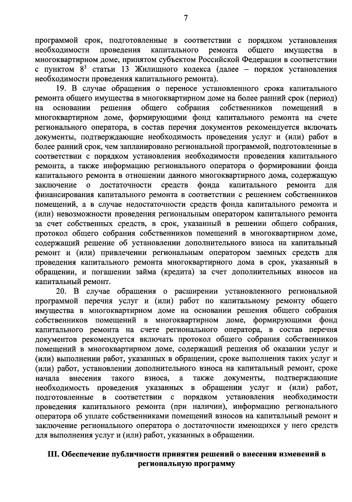программой срок, подготовленные в соответствии с порядком установления проведения капитального ремонта общего необходимости имущества  $\mathbf B$ многоквартирном доме, принятом субъектом Российской Федерации в соответствии с пунктом 8<sup>3</sup> статьи 13 Жилищного кодекса (далее - порядок установления необходимости проведения капитального ремонта).

19. В случае обращения о переносе установленного срока капитального ремонта общего имущества в многоквартирном доме на более ранний срок (период) общего собрания решения собственников помещений на основании многоквартирном доме, формирующими фонд капитального ремонта на счете регионального оператора, в состав перечня документов рекомендуется включать документы, подтверждающие необходимость проведения услуг и (или) работ в более ранний срок, чем запланировано региональной программой, подготовленные в соответствии с порядком установления необходимости проведения капитального ремонта, а также информацию регионального оператора о формировании фонда капитального ремонта в отношении данного многоквартирного дома, содержащую достаточности средств фонда капитального ремонта заключение  $\mathbf O$ для финансирования капитального ремонта в соответствии с решением собственников помещений, а в случае недостаточности средств фонда капитального ремонта и (или) невозможности проведения региональным оператором капитального ремонта за счет собственных средств, в срок, указанный в решении общего собрания, протокол общего собрания собственников помещений в многоквартирном доме, содержащий решение об установлении дополнительного взноса на капитальный ремонт и (или) привлечении региональным оператором заемных средств для проведения капитального ремонта многоквартирного дома в срок, указанный в обращении, и погашении займа (кредита) за счет дополнительных взносов на капитальный ремонт.

20. В случае обращения о расширении установленного региональной программой перечня услуг и (или) работ по капитальному ремонту общего имущества в многоквартирном доме на основании решения общего собрания формирующими фонд собственников помещений в многоквартирном доме, капитального ремонта на счете регионального оператора, в состав перечня документов рекомендуется включать протокол общего собрания собственников помещений в многоквартирном доме, содержащий решения об оказании услуг и (или) выполнении работ, указанных в обращении, сроке выполнения таких услуг и (или) работ, установлении дополнительного взноса на капитальный ремонт, сроке документы, подтверждающие начала внесения такого взноса,  $\rm{a}$ также  $\mathbf{B}$ обращении услуг и (или) работ, необходимость проведения указанных установления подготовленные в соответствии с порядком необходимости проведения капитального ремонта (при наличии), информацию регионального оператора об уплате собственниками помещений взносов на капитальный ремонт и заключение регионального оператора о достаточности имеющихся у него средств для выполнения услуг и (или) работ, указанных в обращении.

### III. Обеспечение публичности принятия решений о внесения изменений в региональную программу